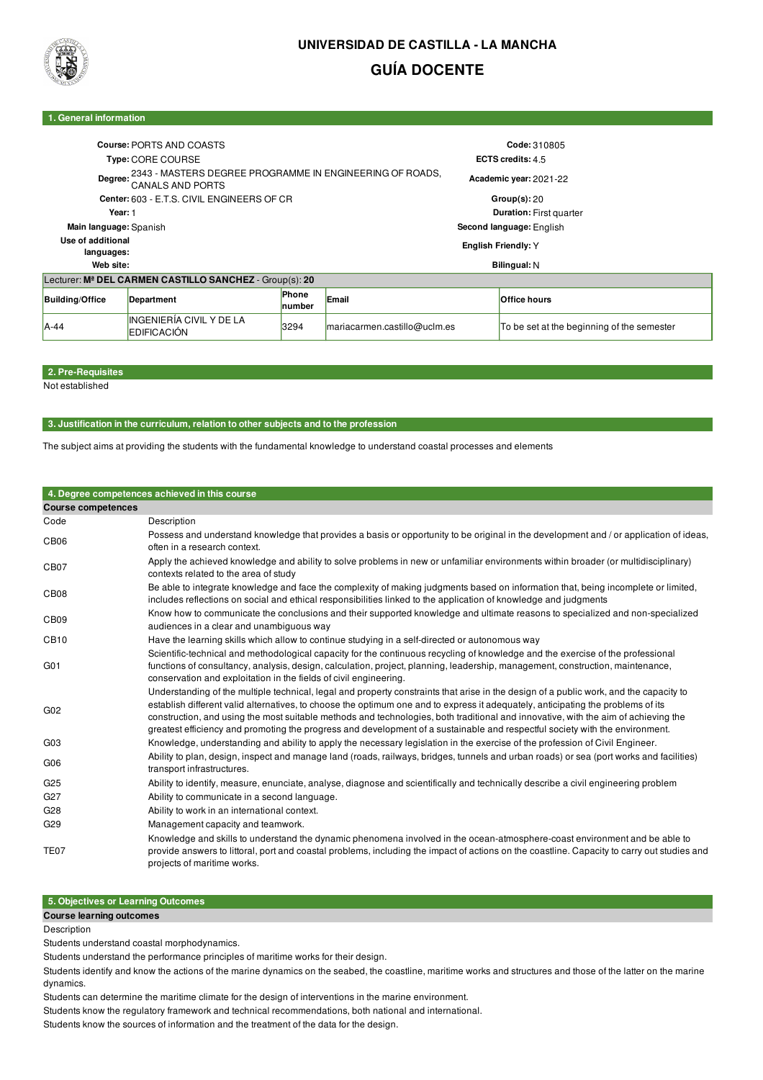

# **UNIVERSIDAD DE CASTILLA - LA MANCHA GUÍA DOCENTE**

### **1. General information**

|                                                                                                | Course: PORTS AND COASTS                       |                        |                                | Code: 310805           |                                            |  |  |  |
|------------------------------------------------------------------------------------------------|------------------------------------------------|------------------------|--------------------------------|------------------------|--------------------------------------------|--|--|--|
| Type: CORE COURSE                                                                              |                                                |                        |                                | ECTS credits: 4.5      |                                            |  |  |  |
| 2343 - MASTERS DEGREE PROGRAMME IN ENGINEERING OF ROADS,<br>Degree:<br><b>CANALS AND PORTS</b> |                                                |                        |                                | Academic year: 2021-22 |                                            |  |  |  |
| Center: 603 - E.T.S. CIVIL ENGINEERS OF CR                                                     |                                                |                        |                                | Group(s):20            |                                            |  |  |  |
| Year: 1                                                                                        |                                                |                        | <b>Duration: First quarter</b> |                        |                                            |  |  |  |
| Main language: Spanish                                                                         |                                                |                        | Second language: English       |                        |                                            |  |  |  |
| Use of additional<br>languages:                                                                |                                                |                        | <b>English Friendly: Y</b>     |                        |                                            |  |  |  |
| Web site:                                                                                      |                                                |                        | Bilingual: N                   |                        |                                            |  |  |  |
| Lecturer: M <sup>a</sup> DEL CARMEN CASTILLO SANCHEZ - Group(s): 20                            |                                                |                        |                                |                        |                                            |  |  |  |
| <b>Building/Office</b>                                                                         | Department                                     | <b>Phone</b><br>number | Email                          |                        | <b>Office hours</b>                        |  |  |  |
| A-44                                                                                           | INGENIERÍA CIVIL Y DE LA<br><b>EDIFICACIÓN</b> | 3294                   | mariacarmen.castillo@uclm.es   |                        | To be set at the beginning of the semester |  |  |  |

## **2. Pre-Requisites**

Not established

#### **3. Justification in the curriculum, relation to other subjects and to the profession**

The subject aims at providing the students with the fundamental knowledge to understand coastal processes and elements

#### **4. Degree competences achieved in this course Course competences** Code Description CB06 Possess and understand knowledge that provides a basis or opportunity to be original in the development and / or application of ideas, often in a research context. CB07 Apply the achieved knowledge and ability to solve problems in new or unfamiliar environments within broader (or multidisciplinary) contexts related to the area of study CB08 Be able to integrate knowledge and face the complexity of making judgments based on information that, being incomplete or limited. includes reflections on social and ethical responsibilities linked to the application of knowledge and judgments CB09 Know how to communicate the conclusions and their supported knowledge and ultimate reasons to specialized and non-specialized audiences in a clear and unambiguous way CB10 Have the learning skills which allow to continue studying in a self-directed or autonomous way G01 Scientific-technical and methodological capacity for the continuous recycling of knowledge and the exercise of the professional functions of consultancy, analysis, design, calculation, project, planning, leadership, management, construction, maintenance, conservation and exploitation in the fields of civil engineering. G02 Understanding of the multiple technical, legal and property constraints that arise in the design of a public work, and the capacity to establish different valid alternatives, to choose the optimum one and to express it adequately, anticipating the problems of its construction, and using the most suitable methods and technologies, both traditional and innovative, with the aim of achieving the greatest efficiency and promoting the progress and development of a sustainable and respectful society with the environment. G03 Knowledge, understanding and ability to apply the necessary legislation in the exercise of the profession of Civil Engineer. G06 Ability to plan, design, inspect and manage land (roads, railways, bridges, tunnels and urban roads) or sea (port works and facilities) transport infrastructures. G25 Ability to identify, measure, enunciate, analyse, diagnose and scientifically and technically describe a civil engineering problem G27 Ability to communicate in a second language. G28 Ability to work in an international context. G29 Management capacity and teamwork. Knowledge and skills to understand the dynamic phenomena involved in the ocean-atmosphere-coast environment and be able to

TE07 provide answers to littoral, port and coastal problems, including the impact of actions on the coastline. Capacity to carry out studies and projects of maritime works.

#### **5. Objectives or Learning Outcomes Course learning outcomes**

**Description** 

Students understand coastal morphodynamics.

Students understand the performance principles of maritime works for their design.

Students identify and know the actions of the marine dynamics on the seabed, the coastline, maritime works and structures and those of the latter on the marine dynamics.

Students can determine the maritime climate for the design of interventions in the marine environment.

Students know the regulatory framework and technical recommendations, both national and international.

Students know the sources of information and the treatment of the data for the design.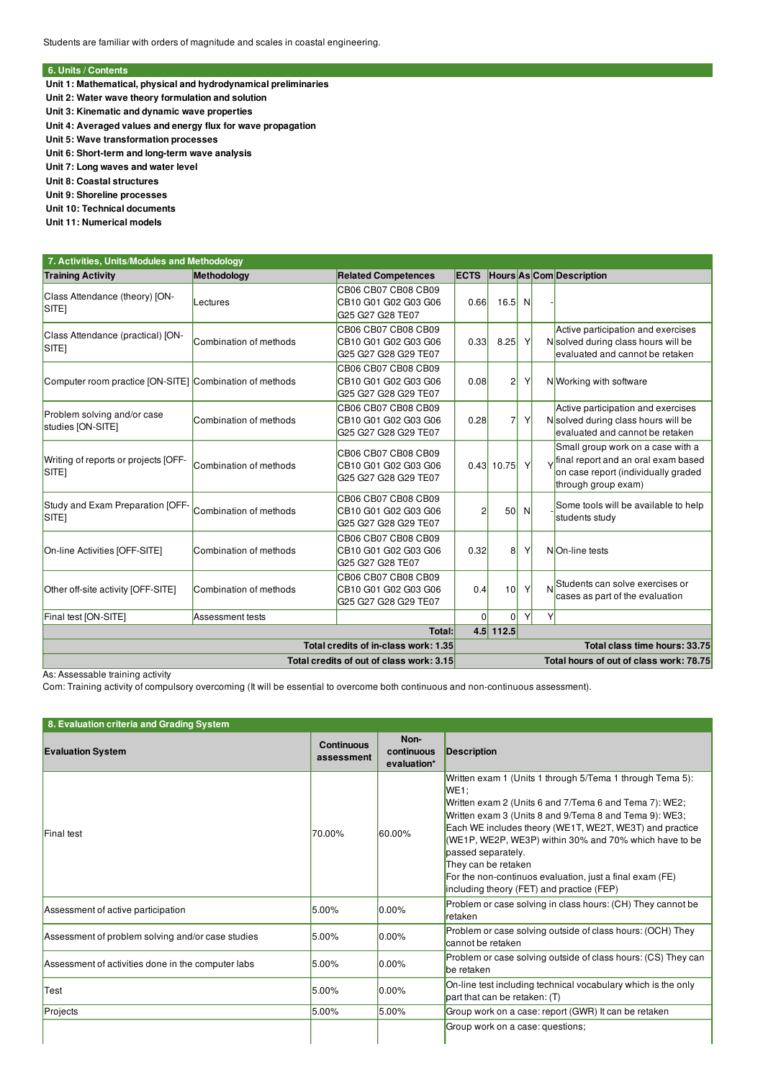## **6. Units / Contents**

**Unit 1: Mathematical, physical and hydrodynamical preliminaries**

- **Unit 2: Water wave theory formulation and solution**
- **Unit 3: Kinematic and dynamic wave properties**
- **Unit 4: Averaged values and energy flux for wave propagation**
- **Unit 5: Wave transformation processes**
- **Unit 6: Short-term and long-term wave analysis**
- **Unit 7: Long waves and water level**
- **Unit 8: Coastal structures**

**Unit 9: Shoreline processes**

**Unit 10: Technical documents**

**Unit 11: Numerical models**

| 7. Activities, Units/Modules and Methodology              |                        |                                                                     |                |                          |                               |   |                                                                                                                                        |  |
|-----------------------------------------------------------|------------------------|---------------------------------------------------------------------|----------------|--------------------------|-------------------------------|---|----------------------------------------------------------------------------------------------------------------------------------------|--|
| <b>Training Activity</b>                                  | Methodology            | <b>Related Competences</b>                                          | <b>ECTS</b>    | Hours As Com Description |                               |   |                                                                                                                                        |  |
| Class Attendance (theory) [ON-<br>SITE <sub>1</sub>       | Lectures               | CB06 CB07 CB08 CB09<br>CB10 G01 G02 G03 G06<br>G25 G27 G28 TE07     | 0.66           | 16.5                     | N                             |   |                                                                                                                                        |  |
| Class Attendance (practical) [ON-<br>SITE <sub>1</sub>    | Combination of methods | CB06 CB07 CB08 CB09<br>CB10 G01 G02 G03 G06<br>G25 G27 G28 G29 TE07 | 0.33           | 8.25                     | Υ                             |   | Active participation and exercises<br>Nsolved during class hours will be<br>levaluated and cannot be retaken                           |  |
| Computer room practice [ON-SITE] Combination of methods   |                        | CB06 CB07 CB08 CB09<br>CB10 G01 G02 G03 G06<br>G25 G27 G28 G29 TE07 | 0.08           | 2                        | Υ                             |   | NWorking with software                                                                                                                 |  |
| Problem solving and/or case<br>studies [ON-SITE]          | Combination of methods | CB06 CB07 CB08 CB09<br>CB10 G01 G02 G03 G06<br>G25 G27 G28 G29 TE07 | 0.28           | 7                        | Υ                             |   | Active participation and exercises<br>Nsolved during class hours will be<br>levaluated and cannot be retaken                           |  |
| Writing of reports or projects [OFF-<br>SITE <sub>1</sub> | Combination of methods | CB06 CB07 CB08 CB09<br>CB10 G01 G02 G03 G06<br>G25 G27 G28 G29 TE07 |                | $0.43$ 10.75             | Y                             |   | Small group work on a case with a<br>vinal report and an oral exam based<br>on case report (individually graded<br>through group exam) |  |
| Study and Exam Preparation [OFF-<br>SITE <sub>1</sub>     | Combination of methods | CB06 CB07 CB08 CB09<br>CB10 G01 G02 G03 G06<br>G25 G27 G28 G29 TE07 | $\overline{c}$ | 50                       | N                             |   | Some tools will be available to help<br>students study                                                                                 |  |
| On-line Activities [OFF-SITE]                             | Combination of methods | CB06 CB07 CB08 CB09<br>CB10 G01 G02 G03 G06<br>G25 G27 G28 TE07     | 0.32           | 8                        | Υ                             |   | NO <sub>n-line</sub> tests                                                                                                             |  |
| Other off-site activity [OFF-SITE]                        | Combination of methods | CB06 CB07 CB08 CB09<br>CB10 G01 G02 G03 G06<br>G25 G27 G28 G29 TE07 | 0.4            | 10                       | Υ                             |   | Students can solve exercises or<br>cases as part of the evaluation                                                                     |  |
| Final test [ON-SITE]                                      | Assessment tests       |                                                                     | $\Omega$       | $\Omega$<br>$4.5$ 112.5  | Υ                             | Y |                                                                                                                                        |  |
| <b>Total:</b>                                             |                        |                                                                     |                |                          |                               |   |                                                                                                                                        |  |
| Total credits of in-class work: 1.35                      |                        |                                                                     |                |                          | Total class time hours: 33.75 |   |                                                                                                                                        |  |
| Total credits of out of class work: 3.15                  |                        |                                                                     |                |                          |                               |   | Total hours of out of class work: 78.75                                                                                                |  |

As: Assessable training activity

Com: Training activity of compulsory overcoming (It will be essential to overcome both continuous and non-continuous assessment).

| 8. Evaluation criteria and Grading System          |                                 |                                   |                                                                                                                                                                                                                                                                                                                                                                                                                                                                               |  |  |  |  |  |
|----------------------------------------------------|---------------------------------|-----------------------------------|-------------------------------------------------------------------------------------------------------------------------------------------------------------------------------------------------------------------------------------------------------------------------------------------------------------------------------------------------------------------------------------------------------------------------------------------------------------------------------|--|--|--|--|--|
| <b>Evaluation System</b>                           | <b>Continuous</b><br>assessment | Non-<br>continuous<br>evaluation* | Description                                                                                                                                                                                                                                                                                                                                                                                                                                                                   |  |  |  |  |  |
| Final test                                         | 70.00%                          | 60.00%                            | Written exam 1 (Units 1 through 5/Tema 1 through Tema 5):<br>WE <sub>1</sub> :<br>Written exam 2 (Units 6 and 7/Tema 6 and Tema 7): WE2;<br>Written exam 3 (Units 8 and 9/Tema 8 and Tema 9): WE3;<br>Each WE includes theory (WE1T, WE2T, WE3T) and practice<br>(WE1P, WE2P, WE3P) within 30% and 70% which have to be<br>passed separately.<br>They can be retaken<br>For the non-continuos evaluation, just a final exam (FE)<br>including theory (FET) and practice (FEP) |  |  |  |  |  |
| Assessment of active participation                 | 5.00%                           | $0.00\%$                          | Problem or case solving in class hours: (CH) They cannot be<br>retaken                                                                                                                                                                                                                                                                                                                                                                                                        |  |  |  |  |  |
| Assessment of problem solving and/or case studies  | 5.00%                           | $0.00\%$                          | Problem or case solving outside of class hours: (OCH) They<br>cannot be retaken                                                                                                                                                                                                                                                                                                                                                                                               |  |  |  |  |  |
| Assessment of activities done in the computer labs | 5.00%                           | $0.00\%$                          | Problem or case solving outside of class hours: (CS) They can<br>be retaken                                                                                                                                                                                                                                                                                                                                                                                                   |  |  |  |  |  |
| Test                                               | 5.00%                           | $0.00\%$                          | On-line test including technical vocabulary which is the only<br>part that can be retaken: (T)                                                                                                                                                                                                                                                                                                                                                                                |  |  |  |  |  |
| Projects                                           | 5.00%                           | 5.00%                             | Group work on a case: report (GWR) It can be retaken                                                                                                                                                                                                                                                                                                                                                                                                                          |  |  |  |  |  |
|                                                    |                                 |                                   | Group work on a case: questions;                                                                                                                                                                                                                                                                                                                                                                                                                                              |  |  |  |  |  |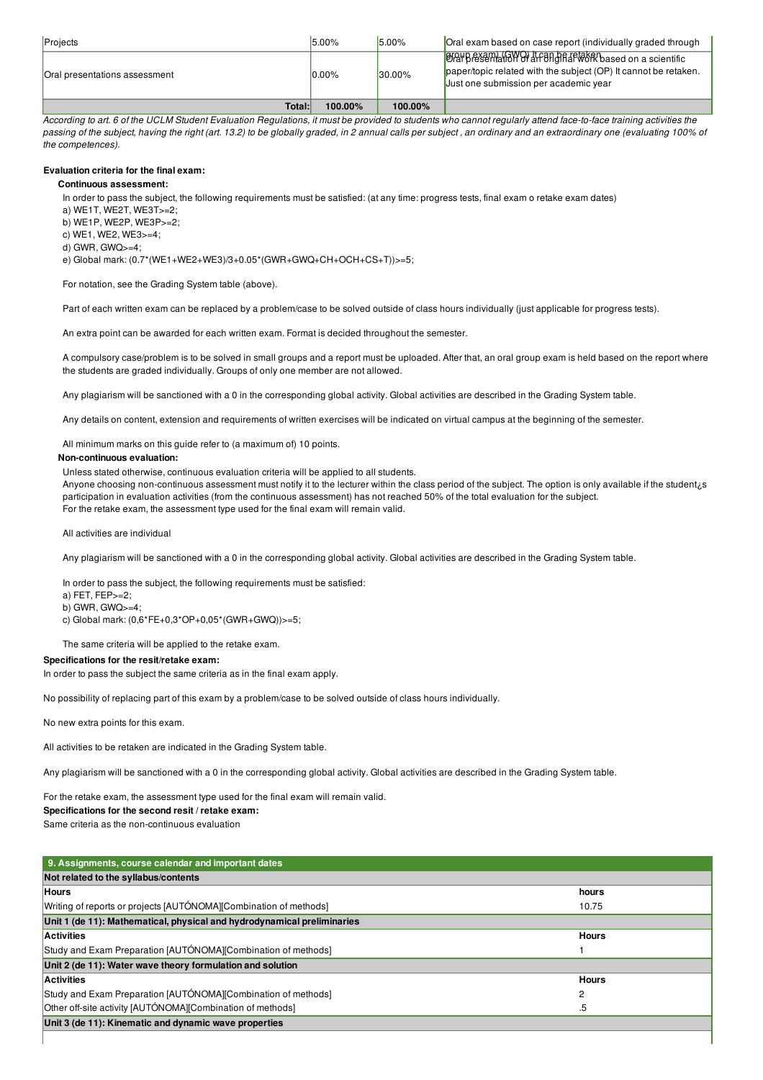| Projects                      | $15.00\%$ | 5.00%      | Oral exam based on case report (individually graded through                                                                                                             |
|-------------------------------|-----------|------------|-------------------------------------------------------------------------------------------------------------------------------------------------------------------------|
| Oral presentations assessment | $0.00\%$  | $130.00\%$ | <b>OR Bressen AGWO It Fangharmork</b> based on a scientific<br>paper/topic related with the subject (OP) It cannot be retaken.<br>Just one submission per academic year |
| Total:I                       | 100.00%   | 100.00%    |                                                                                                                                                                         |

According to art 6 of the UCLM Student Evaluation Requlations, it must be provided to students who cannot reqularly attend face-to-face training activities the passing of the subject, having the right (art. 13.2) to be globally graded, in 2 annual calls per subject, an ordinary and an extraordinary one (evaluating 100% of *the competences).*

## **Evaluation criteria for the final exam:**

## **Continuous assessment:**

In order to pass the subject, the following requirements must be satisfied: (at any time: progress tests, final exam o retake exam dates)

- a) WE1T, WE2T, WE3T>=2;
- b) WE1P, WE2P, WE3P>=2;
- c) WE1, WE2, WE3 $> = 4$
- d) GWR, GWQ>=4;

e) Global mark: (0.7\*(WE1+WE2+WE3)/3+0.05\*(GWR+GWQ+CH+OCH+CS+T))>=5;

For notation, see the Grading System table (above).

Part of each written exam can be replaced by a problem/case to be solved outside of class hours individually (just applicable for progress tests).

An extra point can be awarded for each written exam. Format is decided throughout the semester.

A compulsory case/problem is to be solved in small groups and a report must be uploaded. After that, an oral group exam is held based on the report where the students are graded individually. Groups of only one member are not allowed.

Any plagiarism will be sanctioned with a 0 in the corresponding global activity. Global activities are described in the Grading System table.

Any details on content, extension and requirements of written exercises will be indicated on virtual campus at the beginning of the semester.

All minimum marks on this guide refer to (a maximum of) 10 points.

## **Non-continuous evaluation:**

Unless stated otherwise, continuous evaluation criteria will be applied to all students.

Anyone choosing non-continuous assessment must notify it to the lecturer within the class period of the subject. The option is only available if the student¿s participation in evaluation activities (from the continuous assessment) has not reached 50% of the total evaluation for the subject. For the retake exam, the assessment type used for the final exam will remain valid.

All activities are individual

Any plagiarism will be sanctioned with a 0 in the corresponding global activity. Global activities are described in the Grading System table.

In order to pass the subject, the following requirements must be satisfied:

a) FET,  $FEP_{2}=2$ ;

b) GWR, GWQ>=4; c) Global mark: (0,6\*FE+0,3\*OP+0,05\*(GWR+GWQ))>=5;

The same criteria will be applied to the retake exam.

## **Specifications for the resit/retake exam:**

In order to pass the subject the same criteria as in the final exam apply.

No possibility of replacing part of this exam by a problem/case to be solved outside of class hours individually.

No new extra points for this exam.

All activities to be retaken are indicated in the Grading System table.

Any plagiarism will be sanctioned with a 0 in the corresponding global activity. Global activities are described in the Grading System table.

For the retake exam, the assessment type used for the final exam will remain valid.

## **Specifications for the second resit / retake exam:**

Same criteria as the non-continuous evaluation

| 9. Assignments, course calendar and important dates                     |              |
|-------------------------------------------------------------------------|--------------|
| Not related to the syllabus/contents                                    |              |
| <b>Hours</b>                                                            | hours        |
| Writing of reports or projects [AUTÓNOMA][Combination of methods]       | 10.75        |
| Unit 1 (de 11): Mathematical, physical and hydrodynamical preliminaries |              |
| <b>Activities</b>                                                       | <b>Hours</b> |
| Study and Exam Preparation [AUTÓNOMA][Combination of methods]           |              |
| Unit 2 (de 11): Water wave theory formulation and solution              |              |
| <b>Activities</b>                                                       | <b>Hours</b> |
| Study and Exam Preparation [AUTÓNOMA][Combination of methods]           | 2            |
| Other off-site activity [AUTÓNOMA][Combination of methods]              | .5           |
| Unit 3 (de 11): Kinematic and dynamic wave properties                   |              |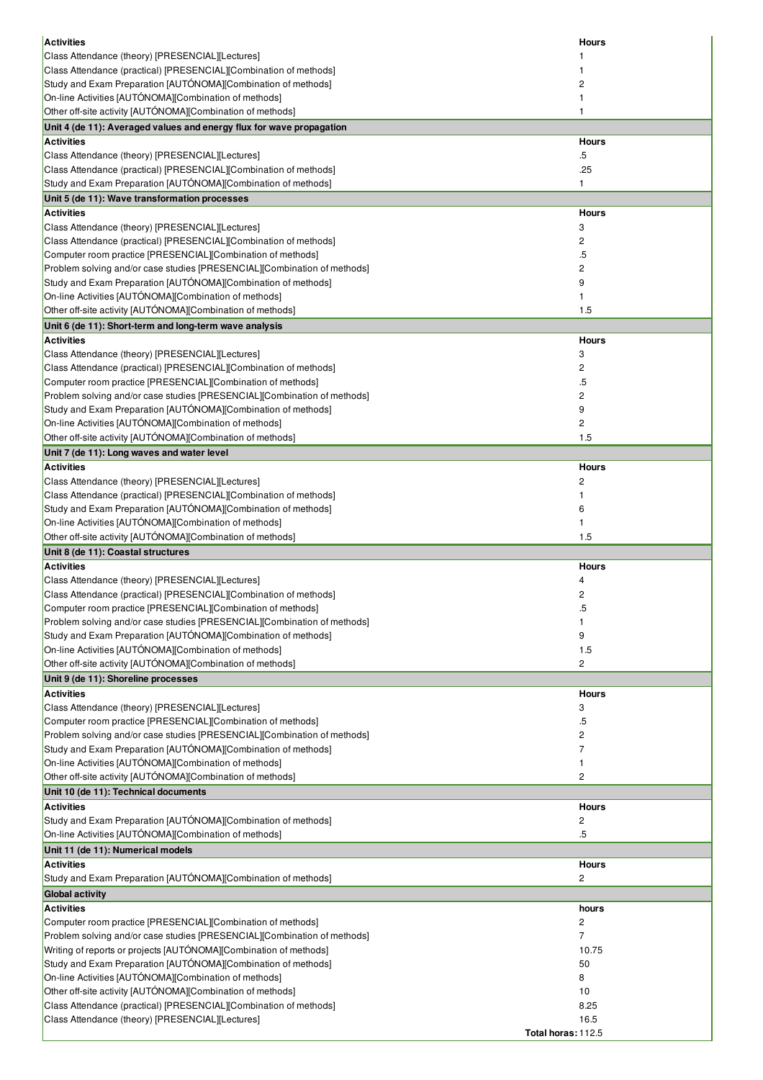| <b>Activities</b>                                                                                                                         | <b>Hours</b>               |
|-------------------------------------------------------------------------------------------------------------------------------------------|----------------------------|
| Class Attendance (theory) [PRESENCIAL][Lectures]                                                                                          |                            |
| Class Attendance (practical) [PRESENCIAL][Combination of methods]                                                                         |                            |
| Study and Exam Preparation [AUTÓNOMA][Combination of methods]                                                                             | 2                          |
| On-line Activities [AUTÓNOMA][Combination of methods]                                                                                     | 1                          |
| Other off-site activity [AUTÓNOMA][Combination of methods]                                                                                | 1                          |
| Unit 4 (de 11): Averaged values and energy flux for wave propagation<br><b>Activities</b>                                                 | <b>Hours</b>               |
| Class Attendance (theory) [PRESENCIAL][Lectures]                                                                                          | .5                         |
| Class Attendance (practical) [PRESENCIAL][Combination of methods]                                                                         | .25                        |
| Study and Exam Preparation [AUTÓNOMA][Combination of methods]                                                                             | 1                          |
| Unit 5 (de 11): Wave transformation processes                                                                                             |                            |
| <b>Activities</b>                                                                                                                         | <b>Hours</b>               |
| Class Attendance (theory) [PRESENCIAL][Lectures]                                                                                          | 3                          |
| Class Attendance (practical) [PRESENCIAL][Combination of methods]                                                                         | 2                          |
| Computer room practice [PRESENCIAL][Combination of methods]                                                                               | $.5\,$                     |
| Problem solving and/or case studies [PRESENCIAL][Combination of methods]<br>Study and Exam Preparation [AUTÓNOMA][Combination of methods] | 2<br>9                     |
| On-line Activities [AUTÓNOMA][Combination of methods]                                                                                     | 1                          |
| Other off-site activity [AUTÓNOMA][Combination of methods]                                                                                | 1.5                        |
| Unit 6 (de 11): Short-term and long-term wave analysis                                                                                    |                            |
| <b>Activities</b>                                                                                                                         | <b>Hours</b>               |
| Class Attendance (theory) [PRESENCIAL][Lectures]                                                                                          | 3                          |
| Class Attendance (practical) [PRESENCIAL][Combination of methods]                                                                         | 2                          |
| Computer room practice [PRESENCIAL][Combination of methods]                                                                               | .5                         |
| Problem solving and/or case studies [PRESENCIAL][Combination of methods]                                                                  | 2                          |
| Study and Exam Preparation [AUTÓNOMA][Combination of methods]                                                                             | 9                          |
| On-line Activities [AUTÓNOMA][Combination of methods]                                                                                     | 2                          |
| Other off-site activity [AUTÓNOMA][Combination of methods]                                                                                | 1.5                        |
| Unit 7 (de 11): Long waves and water level<br><b>Activities</b>                                                                           | <b>Hours</b>               |
| Class Attendance (theory) [PRESENCIAL][Lectures]                                                                                          | 2                          |
| Class Attendance (practical) [PRESENCIAL][Combination of methods]                                                                         | 1                          |
| Study and Exam Preparation [AUTÓNOMA][Combination of methods]                                                                             | 6                          |
| On-line Activities [AUTÓNOMA][Combination of methods]                                                                                     | 1                          |
| Other off-site activity [AUTÓNOMA][Combination of methods]                                                                                | 1.5                        |
| Unit 8 (de 11): Coastal structures                                                                                                        |                            |
| <b>Activities</b>                                                                                                                         |                            |
|                                                                                                                                           | <b>Hours</b>               |
| Class Attendance (theory) [PRESENCIAL][Lectures]                                                                                          | 4                          |
| Class Attendance (practical) [PRESENCIAL][Combination of methods]                                                                         | 2                          |
| Computer room practice [PRESENCIAL][Combination of methods]                                                                               |                            |
| Problem solving and/or case studies [PRESENCIAL][Combination of methods]                                                                  | 1                          |
| Study and Exam Preparation [AUTÓNOMA][Combination of methods]<br>On-line Activities [AUTÓNOMA][Combination of methods]                    | 9<br>1.5                   |
| Other off-site activity [AUTÓNOMA][Combination of methods]                                                                                | 2                          |
| Unit 9 (de 11): Shoreline processes                                                                                                       |                            |
| <b>Activities</b>                                                                                                                         | <b>Hours</b>               |
| Class Attendance (theory) [PRESENCIAL][Lectures]                                                                                          | 3                          |
| Computer room practice [PRESENCIAL][Combination of methods]                                                                               | .5                         |
| Problem solving and/or case studies [PRESENCIAL][Combination of methods]                                                                  | 2                          |
| Study and Exam Preparation [AUTÓNOMA][Combination of methods]                                                                             | 7                          |
| On-line Activities [AUTÓNOMA][Combination of methods]                                                                                     | 1                          |
| Other off-site activity [AUTÓNOMA][Combination of methods]                                                                                | 2                          |
| Unit 10 (de 11): Technical documents<br><b>Activities</b>                                                                                 | <b>Hours</b>               |
| Study and Exam Preparation [AUTÓNOMA][Combination of methods]                                                                             | 2                          |
| On-line Activities [AUTÓNOMA][Combination of methods]                                                                                     | .5                         |
| Unit 11 (de 11): Numerical models                                                                                                         |                            |
| <b>Activities</b>                                                                                                                         | <b>Hours</b>               |
| Study and Exam Preparation [AUTÓNOMA][Combination of methods]                                                                             | 2                          |
| <b>Global activity</b>                                                                                                                    |                            |
| <b>Activities</b>                                                                                                                         | hours                      |
| Computer room practice [PRESENCIAL][Combination of methods]                                                                               | $\mathbf{2}$               |
| Problem solving and/or case studies [PRESENCIAL][Combination of methods]                                                                  | 7                          |
| Writing of reports or projects [AUTÓNOMA][Combination of methods]                                                                         | 10.75<br>50                |
| Study and Exam Preparation [AUTÓNOMA][Combination of methods]<br>On-line Activities [AUTÓNOMA][Combination of methods]                    | 8                          |
| Other off-site activity [AUTÓNOMA][Combination of methods]                                                                                | 10                         |
| Class Attendance (practical) [PRESENCIAL][Combination of methods]                                                                         | 8.25                       |
| Class Attendance (theory) [PRESENCIAL][Lectures]                                                                                          | 16.5<br>Total horas: 112.5 |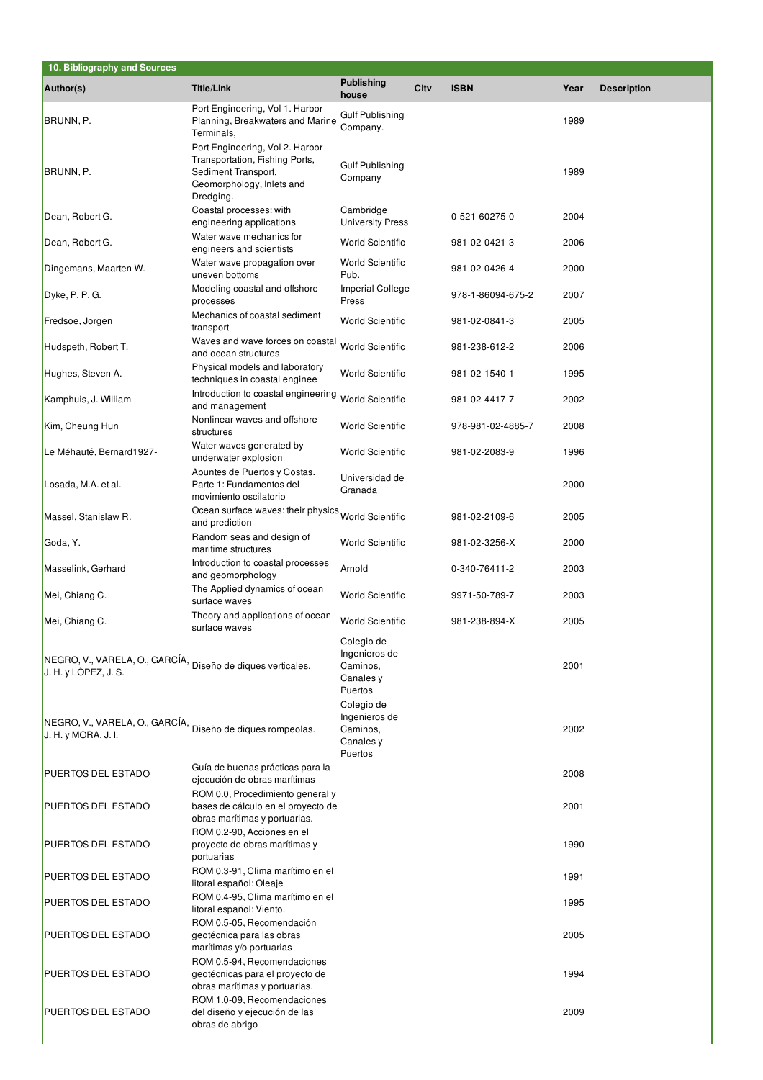| 10. Bibliography and Sources                                                        |                                                                                                                      |                                                                 |      |                   |      |                    |
|-------------------------------------------------------------------------------------|----------------------------------------------------------------------------------------------------------------------|-----------------------------------------------------------------|------|-------------------|------|--------------------|
| Author(s)                                                                           | <b>Title/Link</b>                                                                                                    | <b>Publishing</b><br>house                                      | City | <b>ISBN</b>       | Year | <b>Description</b> |
| BRUNN, P.                                                                           | Port Engineering, Vol 1. Harbor<br>Planning, Breakwaters and Marine<br>Terminals,<br>Port Engineering, Vol 2. Harbor | Gulf Publishing<br>Company.                                     |      |                   | 1989 |                    |
| BRUNN, P.                                                                           | Transportation, Fishing Ports,<br>Sediment Transport,<br>Geomorphology, Inlets and<br>Dredging.                      | <b>Gulf Publishing</b><br>Company                               |      |                   | 1989 |                    |
| Dean, Robert G.                                                                     | Coastal processes: with<br>engineering applications                                                                  | Cambridge<br><b>University Press</b>                            |      | 0-521-60275-0     | 2004 |                    |
| Dean, Robert G.                                                                     | Water wave mechanics for<br>engineers and scientists                                                                 | <b>World Scientific</b>                                         |      | 981-02-0421-3     | 2006 |                    |
| Dingemans, Maarten W.                                                               | Water wave propagation over<br>uneven bottoms                                                                        | <b>World Scientific</b><br>Pub.                                 |      | 981-02-0426-4     | 2000 |                    |
| Dyke, P. P. G.                                                                      | Modeling coastal and offshore<br>processes                                                                           | <b>Imperial College</b><br>Press                                |      | 978-1-86094-675-2 | 2007 |                    |
| Fredsoe, Jorgen                                                                     | Mechanics of coastal sediment<br>transport                                                                           | <b>World Scientific</b>                                         |      | 981-02-0841-3     | 2005 |                    |
| Hudspeth, Robert T.                                                                 | Waves and wave forces on coastal<br>and ocean structures                                                             | <b>World Scientific</b>                                         |      | 981-238-612-2     | 2006 |                    |
| Hughes, Steven A.                                                                   | Physical models and laboratory<br>techniques in coastal enginee                                                      | <b>World Scientific</b>                                         |      | 981-02-1540-1     | 1995 |                    |
| Kamphuis, J. William                                                                | Introduction to coastal engineering<br>and management                                                                | <b>World Scientific</b>                                         |      | 981-02-4417-7     | 2002 |                    |
| Kim, Cheung Hun                                                                     | Nonlinear waves and offshore<br>structures                                                                           | <b>World Scientific</b>                                         |      | 978-981-02-4885-7 | 2008 |                    |
| Le Méhauté, Bernard1927-                                                            | Water waves generated by<br>underwater explosion                                                                     | <b>World Scientific</b>                                         |      | 981-02-2083-9     | 1996 |                    |
| Losada, M.A. et al.                                                                 | Apuntes de Puertos y Costas.<br>Parte 1: Fundamentos del<br>movimiento oscilatorio                                   | Universidad de<br>Granada                                       |      |                   | 2000 |                    |
| Massel, Stanislaw R.                                                                | Ocean surface waves: their physics World Scientific<br>and prediction                                                |                                                                 |      | 981-02-2109-6     | 2005 |                    |
| Goda, Y.                                                                            | Random seas and design of<br>maritime structures                                                                     | <b>World Scientific</b>                                         |      | 981-02-3256-X     | 2000 |                    |
| Masselink, Gerhard                                                                  | Introduction to coastal processes<br>and geomorphology                                                               | Arnold                                                          |      | 0-340-76411-2     | 2003 |                    |
| Mei, Chiang C.                                                                      | The Applied dynamics of ocean<br>surface waves                                                                       | <b>World Scientific</b>                                         |      | 9971-50-789-7     | 2003 |                    |
| Mei, Chiang C.                                                                      | Theory and applications of ocean<br>surface waves                                                                    | <b>World Scientific</b><br>Colegio de                           |      | 981-238-894-X     | 2005 |                    |
| NEGRO, V., VARELA, O., GARCÍA, Diseño de diques verticales.<br>J. H. y LOPEZ, J. S. |                                                                                                                      | Ingenieros de<br>Caminos,<br>Canales y<br>Puertos<br>Colegio de |      |                   | 2001 |                    |
| NEGRO, V., VARELA, O., GARCÍA,<br>J. H. y MORA, J. I.                               | Diseño de diques rompeolas.                                                                                          | Ingenieros de<br>Caminos,<br>Canales y<br>Puertos               |      |                   | 2002 |                    |
| <b>PUERTOS DEL ESTADO</b>                                                           | Guía de buenas prácticas para la<br>ejecución de obras marítimas<br>ROM 0.0, Procedimiento general y                 |                                                                 |      |                   | 2008 |                    |
| <b>PUERTOS DEL ESTADO</b>                                                           | bases de cálculo en el proyecto de<br>obras marítimas y portuarias.                                                  |                                                                 |      |                   | 2001 |                    |
| <b>PUERTOS DEL ESTADO</b>                                                           | ROM 0.2-90, Acciones en el<br>proyecto de obras marítimas y<br>portuarias                                            |                                                                 |      |                   | 1990 |                    |
| <b>PUERTOS DEL ESTADO</b>                                                           | ROM 0.3-91, Clima marítimo en el<br>litoral español: Oleaje                                                          |                                                                 |      |                   | 1991 |                    |
| PUERTOS DEL ESTADO                                                                  | ROM 0.4-95, Clima marítimo en el<br>litoral español: Viento.                                                         |                                                                 |      |                   | 1995 |                    |
| <b>PUERTOS DEL ESTADO</b>                                                           | ROM 0.5-05, Recomendación<br>geotécnica para las obras<br>marítimas y/o portuarias                                   |                                                                 |      |                   | 2005 |                    |
| <b>PUERTOS DEL ESTADO</b>                                                           | ROM 0.5-94, Recomendaciones<br>geotécnicas para el proyecto de<br>obras marítimas y portuarias.                      |                                                                 |      |                   | 1994 |                    |
| <b>PUERTOS DEL ESTADO</b>                                                           | ROM 1.0-09, Recomendaciones<br>del diseño y ejecución de las<br>obras de abrigo                                      |                                                                 |      |                   | 2009 |                    |